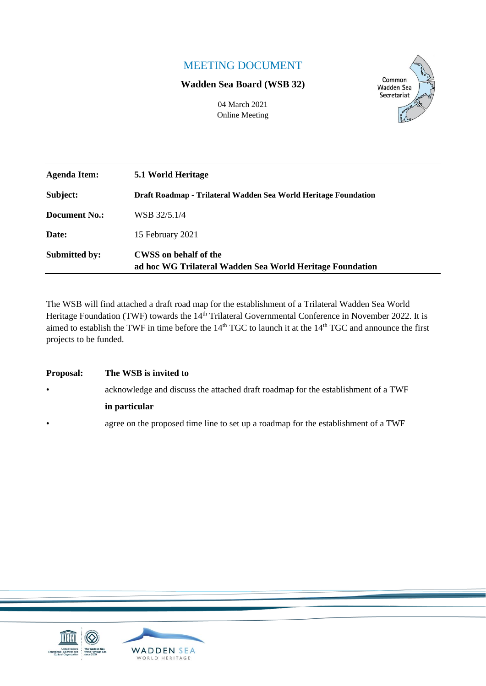## MEETING DOCUMENT

### **Wadden Sea Board (WSB 32)**



04 March 2021 Online Meeting

| Agenda Item:         | 5.1 World Heritage                                                                        |  |
|----------------------|-------------------------------------------------------------------------------------------|--|
| Subject:             | Draft Roadmap - Trilateral Wadden Sea World Heritage Foundation                           |  |
| Document No.:        | WSB 32/5.1/4                                                                              |  |
| Date:                | 15 February 2021                                                                          |  |
| <b>Submitted by:</b> | <b>CWSS</b> on behalf of the<br>ad hoc WG Trilateral Wadden Sea World Heritage Foundation |  |

The WSB will find attached a draft road map for the establishment of a Trilateral Wadden Sea World Heritage Foundation (TWF) towards the 14<sup>th</sup> Trilateral Governmental Conference in November 2022. It is aimed to establish the TWF in time before the  $14<sup>th</sup> TGC$  to launch it at the  $14<sup>th</sup> TGC$  and announce the first projects to be funded.

| <b>Proposal:</b> | The WSB is invited to                                                              |  |
|------------------|------------------------------------------------------------------------------------|--|
| $\bullet$        | acknowledge and discuss the attached draft roadmap for the establishment of a TWF  |  |
|                  | in particular                                                                      |  |
| $\bullet$        | agree on the proposed time line to set up a roadmap for the establishment of a TWF |  |

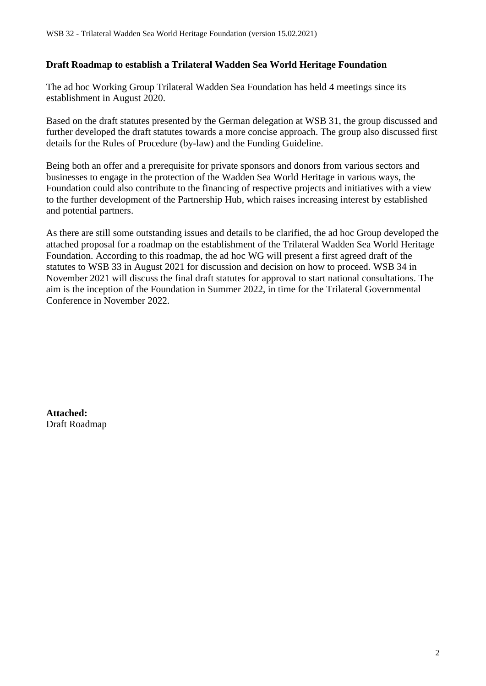### **Draft Roadmap to establish a Trilateral Wadden Sea World Heritage Foundation**

The ad hoc Working Group Trilateral Wadden Sea Foundation has held 4 meetings since its establishment in August 2020.

Based on the draft statutes presented by the German delegation at WSB 31, the group discussed and further developed the draft statutes towards a more concise approach. The group also discussed first details for the Rules of Procedure (by-law) and the Funding Guideline.

Being both an offer and a prerequisite for private sponsors and donors from various sectors and businesses to engage in the protection of the Wadden Sea World Heritage in various ways, the Foundation could also contribute to the financing of respective projects and initiatives with a view to the further development of the Partnership Hub, which raises increasing interest by established and potential partners.

As there are still some outstanding issues and details to be clarified, the ad hoc Group developed the attached proposal for a roadmap on the establishment of the Trilateral Wadden Sea World Heritage Foundation. According to this roadmap, the ad hoc WG will present a first agreed draft of the statutes to WSB 33 in August 2021 for discussion and decision on how to proceed. WSB 34 in November 2021 will discuss the final draft statutes for approval to start national consultations. The aim is the inception of the Foundation in Summer 2022, in time for the Trilateral Governmental Conference in November 2022.

**Attached:**  Draft Roadmap